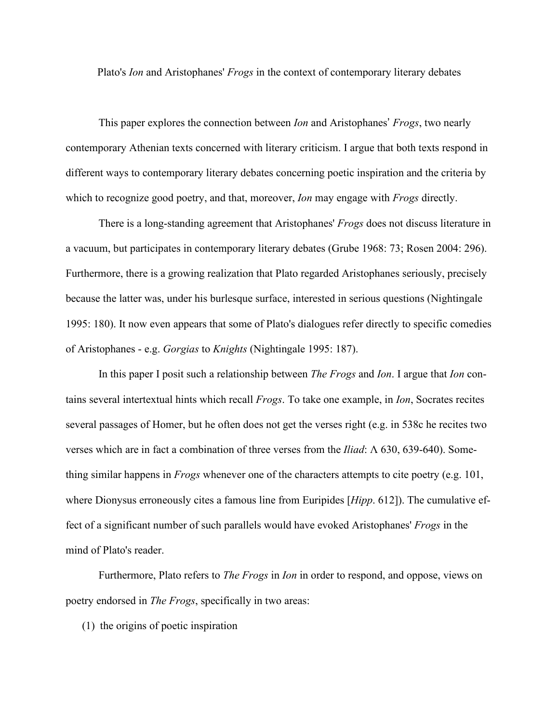Plato's *Ion* and Aristophanes' *Frogs* in the context of contemporary literary debates

This paper explores the connection between *Ion* and Aristophanes' *Frogs*, two nearly contemporary Athenian texts concerned with literary criticism. I argue that both texts respond in different ways to contemporary literary debates concerning poetic inspiration and the criteria by which to recognize good poetry, and that, moreover, *Ion* may engage with *Frogs* directly.

There is a long-standing agreement that Aristophanes' *Frogs* does not discuss literature in a vacuum, but participates in contemporary literary debates (Grube 1968: 73; Rosen 2004: 296). Furthermore, there is a growing realization that Plato regarded Aristophanes seriously, precisely because the latter was, under his burlesque surface, interested in serious questions (Nightingale 1995: 180). It now even appears that some of Plato's dialogues refer directly to specific comedies of Aristophanes - e.g. *Gorgias* to *Knights* (Nightingale 1995: 187).

In this paper I posit such a relationship between *The Frogs* and *Ion*. I argue that *Ion* contains several intertextual hints which recall *Frogs*. To take one example, in *Ion*, Socrates recites several passages of Homer, but he often does not get the verses right (e.g. in 538c he recites two verses which are in fact a combination of three verses from the *Iliad*: Λ 630, 639-640). Something similar happens in *Frogs* whenever one of the characters attempts to cite poetry (e.g. 101, where Dionysus erroneously cites a famous line from Euripides [*Hipp*. 612]). The cumulative effect of a significant number of such parallels would have evoked Aristophanes' *Frogs* in the mind of Plato's reader.

Furthermore, Plato refers to *The Frogs* in *Ion* in order to respond, and oppose, views on poetry endorsed in *The Frogs*, specifically in two areas:

(1) the origins of poetic inspiration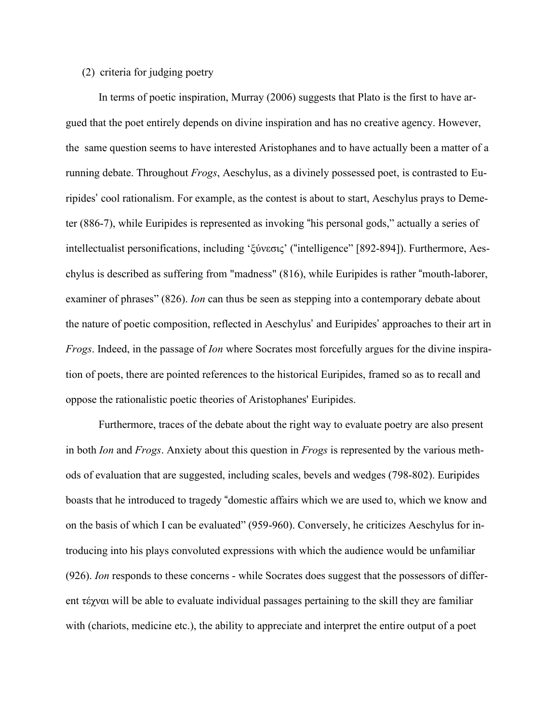## (2) criteria for judging poetry

In terms of poetic inspiration, Murray (2006) suggests that Plato is the first to have argued that the poet entirely depends on divine inspiration and has no creative agency. However, the same question seems to have interested Aristophanes and to have actually been a matter of a running debate. Throughout *Frogs*, Aeschylus, as a divinely possessed poet, is contrasted to Euripides' cool rationalism. For example, as the contest is about to start, Aeschylus prays to Demeter (886-7), while Euripides is represented as invoking "his personal gods," actually a series of intellectualist personifications, including 'ξύνεσις' ("intelligence" [892-894]). Furthermore, Aeschylus is described as suffering from "madness" (816), while Euripides is rather "mouth-laborer, examiner of phrases" (826). *Ion* can thus be seen as stepping into a contemporary debate about the nature of poetic composition, reflected in Aeschylus' and Euripides' approaches to their art in *Frogs*. Indeed, in the passage of *Ion* where Socrates most forcefully argues for the divine inspiration of poets, there are pointed references to the historical Euripides, framed so as to recall and oppose the rationalistic poetic theories of Aristophanes' Euripides.

Furthermore, traces of the debate about the right way to evaluate poetry are also present in both *Ion* and *Frogs*. Anxiety about this question in *Frogs* is represented by the various methods of evaluation that are suggested, including scales, bevels and wedges (798-802). Euripides boasts that he introduced to tragedy "domestic affairs which we are used to, which we know and on the basis of which I can be evaluated" (959-960). Conversely, he criticizes Aeschylus for introducing into his plays convoluted expressions with which the audience would be unfamiliar (926). *Ion* responds to these concerns - while Socrates does suggest that the possessors of different τέχναι will be able to evaluate individual passages pertaining to the skill they are familiar with (chariots, medicine etc.), the ability to appreciate and interpret the entire output of a poet